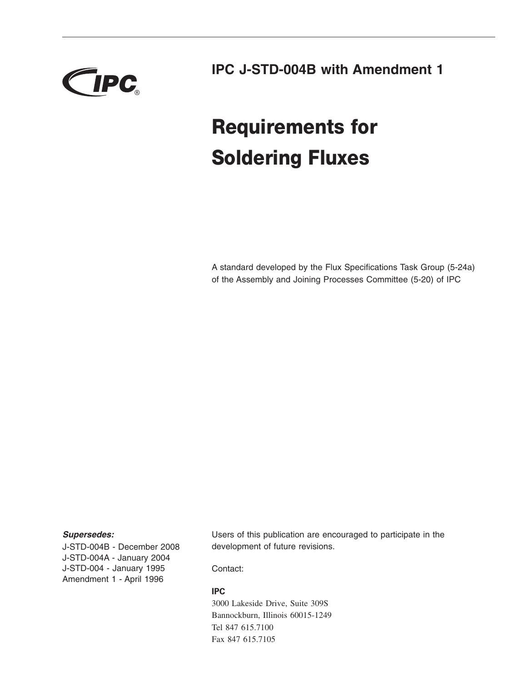

**IPC J-STD-004B with Amendment 1**

# **Requirements for Soldering Fluxes**

A standard developed by the Flux Specifications Task Group (5-24a) of the Assembly and Joining Processes Committee (5-20) of IPC

### *Supersedes:*

J-STD-004B - December 2008 J-STD-004A - January 2004 J-STD-004 - January 1995 Amendment 1 - April 1996

Users of this publication are encouraged to participate in the development of future revisions.

Contact:

### **IPC**

3000 Lakeside Drive, Suite 309S Bannockburn, Illinois 60015-1249 Tel 847 615.7100 Fax 847 615.7105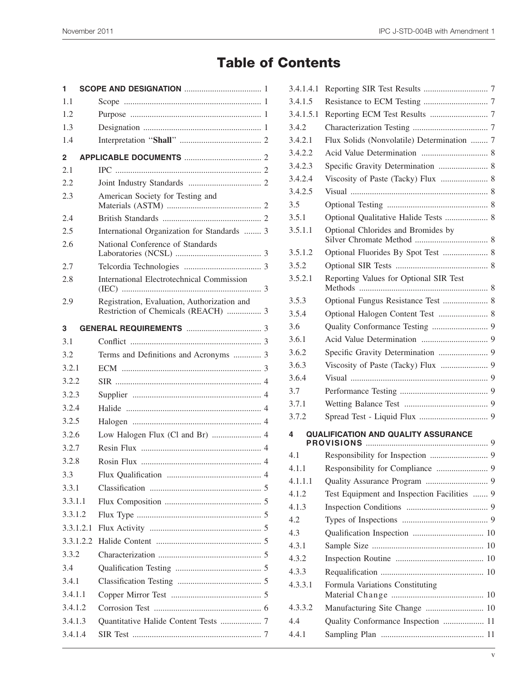# **Table of Contents**

| 1         |  |                                                                                    |  |  |  |
|-----------|--|------------------------------------------------------------------------------------|--|--|--|
| 1.1       |  |                                                                                    |  |  |  |
| 1.2       |  |                                                                                    |  |  |  |
| 1.3       |  |                                                                                    |  |  |  |
| 1.4       |  |                                                                                    |  |  |  |
| 2         |  |                                                                                    |  |  |  |
| 2.1       |  |                                                                                    |  |  |  |
| 2.2       |  |                                                                                    |  |  |  |
| 2.3       |  | American Society for Testing and                                                   |  |  |  |
| 2.4       |  |                                                                                    |  |  |  |
| 2.5       |  | International Organization for Standards  3                                        |  |  |  |
| 2.6       |  | National Conference of Standards                                                   |  |  |  |
| 2.7       |  |                                                                                    |  |  |  |
| 2.8       |  | International Electrotechnical Commission                                          |  |  |  |
| 2.9       |  | Registration, Evaluation, Authorization and<br>Restriction of Chemicals (REACH)  3 |  |  |  |
| 3         |  |                                                                                    |  |  |  |
| 3.1       |  |                                                                                    |  |  |  |
| 3.2       |  | Terms and Definitions and Acronyms  3                                              |  |  |  |
| 3.2.1     |  |                                                                                    |  |  |  |
| 3.2.2     |  |                                                                                    |  |  |  |
| 3.2.3     |  |                                                                                    |  |  |  |
| 3.2.4     |  |                                                                                    |  |  |  |
| 3.2.5     |  |                                                                                    |  |  |  |
| 3.2.6     |  | Low Halogen Flux (Cl and Br)  4                                                    |  |  |  |
| 3.2.7     |  |                                                                                    |  |  |  |
| 3.2.8     |  |                                                                                    |  |  |  |
| 3.3       |  |                                                                                    |  |  |  |
| 3.3.1     |  |                                                                                    |  |  |  |
| 3.3.1.1   |  |                                                                                    |  |  |  |
| 3.3.1.2   |  |                                                                                    |  |  |  |
| 3.3.1.2.1 |  |                                                                                    |  |  |  |
|           |  |                                                                                    |  |  |  |
| 3.3.2     |  |                                                                                    |  |  |  |
| 3.4       |  |                                                                                    |  |  |  |
| 3.4.1     |  |                                                                                    |  |  |  |
| 3.4.1.1   |  |                                                                                    |  |  |  |
| 3.4.1.2   |  |                                                                                    |  |  |  |
| 3.4.1.3   |  | Quantitative Halide Content Tests  7                                               |  |  |  |
| 3.4.1.4   |  |                                                                                    |  |  |  |
|           |  |                                                                                    |  |  |  |

| 3.4.1.4.1 |                                             |  |  |  |  |
|-----------|---------------------------------------------|--|--|--|--|
| 3.4.1.5   |                                             |  |  |  |  |
| 3.4.1.5.1 |                                             |  |  |  |  |
| 3.4.2     |                                             |  |  |  |  |
| 3.4.2.1   | Flux Solids (Nonvolatile) Determination  7  |  |  |  |  |
| 3.4.2.2   |                                             |  |  |  |  |
| 3.4.2.3   | Specific Gravity Determination  8           |  |  |  |  |
| 3.4.2.4   |                                             |  |  |  |  |
| 3.4.2.5   |                                             |  |  |  |  |
| 3.5       |                                             |  |  |  |  |
| 3.5.1     | Optional Qualitative Halide Tests  8        |  |  |  |  |
| 3.5.1.1   | Optional Chlorides and Bromides by          |  |  |  |  |
| 3.5.1.2   | Optional Fluorides By Spot Test  8          |  |  |  |  |
| 3.5.2     |                                             |  |  |  |  |
| 3.5.2.1   | Reporting Values for Optional SIR Test      |  |  |  |  |
| 3.5.3     | Optional Fungus Resistance Test  8          |  |  |  |  |
| 3.5.4     | Optional Halogen Content Test  8            |  |  |  |  |
| 3.6       |                                             |  |  |  |  |
| 3.6.1     |                                             |  |  |  |  |
| 3.6.2     |                                             |  |  |  |  |
| 3.6.3     |                                             |  |  |  |  |
| 3.6.4     |                                             |  |  |  |  |
| 3.7       |                                             |  |  |  |  |
| 3.7.1     |                                             |  |  |  |  |
| 3.7.2     |                                             |  |  |  |  |
| 4         | <b>QUALIFICATION AND QUALITY ASSURANCE</b>  |  |  |  |  |
| 4.1       |                                             |  |  |  |  |
| 4.1.1     |                                             |  |  |  |  |
| 4.1.1.1   |                                             |  |  |  |  |
| 4.1.2     | Test Equipment and Inspection Facilities  9 |  |  |  |  |
| 4.1.3     |                                             |  |  |  |  |
| 4.2       |                                             |  |  |  |  |
| 4.3       |                                             |  |  |  |  |
| 4.3.1     |                                             |  |  |  |  |
| 4.3.2     |                                             |  |  |  |  |
| 4.3.3     |                                             |  |  |  |  |
| 4.3.3.1   | Formula Variations Constituting             |  |  |  |  |
| 4.3.3.2   | Manufacturing Site Change  10               |  |  |  |  |
| 4.4       | Quality Conformance Inspection  11          |  |  |  |  |
| 4.4.1     |                                             |  |  |  |  |
|           |                                             |  |  |  |  |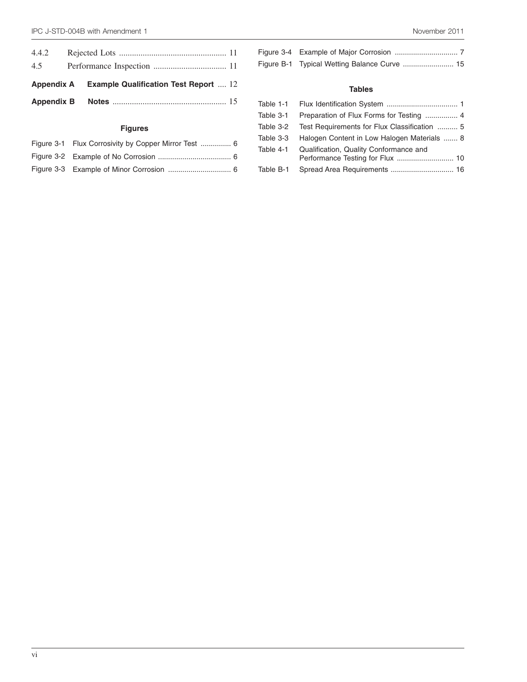| 4.4.2 |                                                         |  |
|-------|---------------------------------------------------------|--|
| 4.5   |                                                         |  |
|       | <b>Appendix A</b> Example Qualification Test Report  12 |  |
|       |                                                         |  |

# **Figures**

| Figure 3-1 Flux Corrosivity by Copper Mirror Test  6 |
|------------------------------------------------------|
|                                                      |
|                                                      |

## **Tables**

|           | Table 3-1 Preparation of Flux Forms for Testing  4      |
|-----------|---------------------------------------------------------|
|           | Table 3-2  Test Requirements for Flux Classification  5 |
| Table 3-3 | Halogen Content in Low Halogen Materials  8             |
|           | Table 4-1 Qualification, Quality Conformance and        |
| Table B-1 |                                                         |
|           |                                                         |